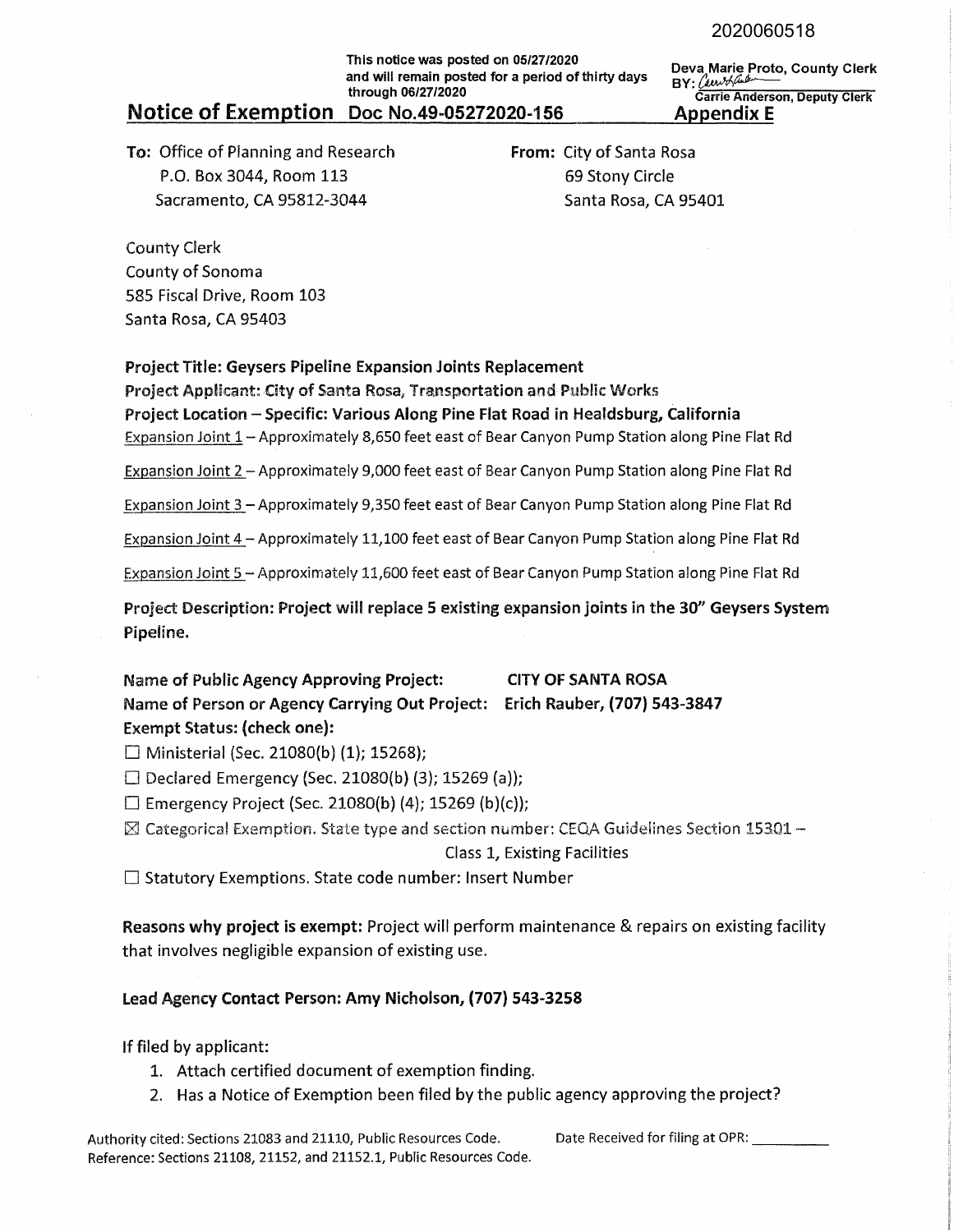This notice was posted on 05/27/2020 and will remain posted for a period of thirty days through 06/27/2020

# Notice of Exemption Doc No.49-05272020-156

**Deva Marie Proto, County Clerk**  BY: Carrow Link **Carrie Anderson, Deputy Clerk Appendix E** 

To: Office of Planning and Research P.O. Box 3044, Room 113 Sacramento, CA 95812-3044

**From:** City of Santa Rosa 69 Stony Circle Santa Rosa, CA 95401

County Clerk County of Sonoma 585 Fiscal Drive, Room 103 Santa Rosa, CA 95403

## Project Title: Geysers Pipeline Expansion Joints Replacement

Project Applicant: City of Santa Rosa, Transportation and Public Works Project Location - Specific: Various Along Pine Flat Road in Healdsburg, California Expansion Joint 1-Approximately 8,650 feet east of Bear Canyon Pump Station along Pine Flat Rd

Expansion Joint 2 - Approximately 9,000 feet east of Bear Canyon Pump Station along Pine Flat Rd

Expansion Joint 3 - Approximately 9,350 feet east of Bear Canyon Pump Station along Pine Flat Rd

Expansion Joint 4-Approximately 11,100 feet east of Bear Canyon Pump Station along Pine Flat Rd

Expansion Joint 5 - Approximately 11,600 feet east of Bear Canyon Pump Station along Pine Flat Rd

Project Description: Project will replace 5 existing expansion joints in the 30" Geysers System Pipeline.

Name of Public Agency Approving Project: CITY Of SANTA ROSA Name of Person or Agency Carrying Out Project: Erich Rauber, (707) 543-3847 Exempt Status: (check one):

 $\Box$  Ministerial (Sec. 21080(b) (1); 15268);

 $\Box$  Declared Emergency (Sec. 21080(b) (3); 15269 (a));

 $\square$  Emergency Project (Sec. 21080(b) (4); 15269 (b)(c));

 $\boxtimes$  Categorical Exemption. State type and section number: CEQA Guidelines Section 15301 --Class 1, Existing Facilities

 $\square$  Statutory Exemptions. State code number: Insert Number

**Reasons why project is exempt:** Project will perform maintenance & repairs on existing facility that involves negligible expansion of existing use.

# Lead Agency **Contact Person: Amy Nicholson, (707) 543-3258**

If filed by applicant:

- 1. Attach certified document of exemption finding.
- 2. Has a Notice of Exemption been filed by the public agency approving the project?

Authority cited: Sections 21083 and 21110, Public Resources Code. Date Received for filing at OPR: Reference: Sections 21108, 21152, and 21152.1, Public Resources Code.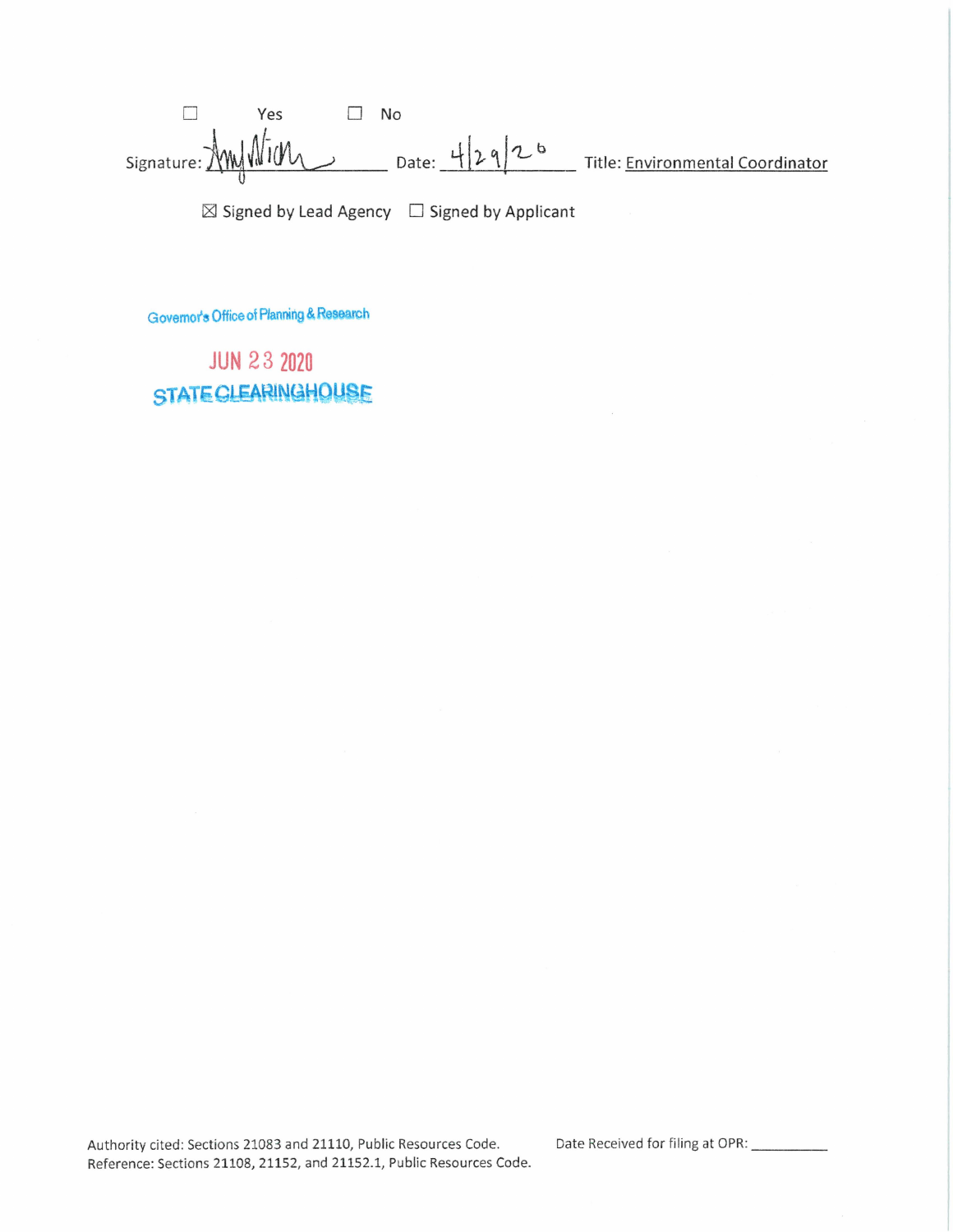|                    |  | Nο |               |                                  |
|--------------------|--|----|---------------|----------------------------------|
| Signature: Am Mich |  |    | Date: 4/29/26 | Title: Environmental Coordinator |

 $\boxtimes$  Signed by Lead Agency  $\Box$  Signed by Applicant

Governor's Office of Planning & Research

**JUN 23 2020** STATE CLEARINGHOUSE

Authority cited: Sections 21083 and 21110, Public Resources Code. Reference: Sections 21108, 21152, and 21152.1, Public Resources Code. Date Received for filing at OPR: \_\_\_\_\_\_\_\_\_\_\_\_\_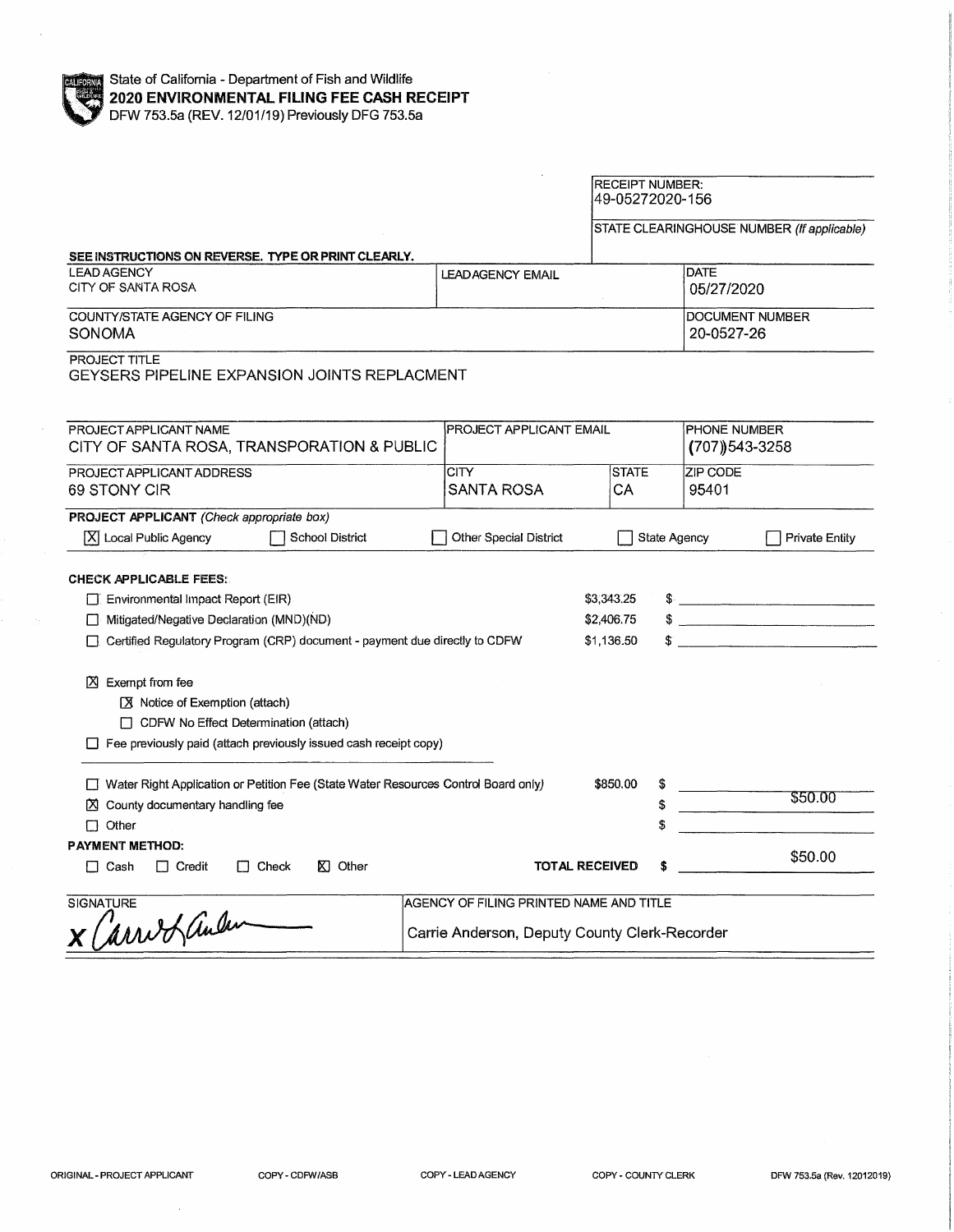

#### RECEIPT NUMBER: 49-05272020-156

STATE CLEARINGHOUSE NUMBER (If applicable)

| SEE INSTRUCTIONS ON REVERSE. TYPE OR PRINT CLEARLY. |                         |                                         |  |  |  |  |
|-----------------------------------------------------|-------------------------|-----------------------------------------|--|--|--|--|
| <b>LEAD AGENCY</b><br>CITY OF SANTA ROSA            | <b>LEADAGENCY EMAIL</b> | <b>IDATE</b><br>05/27/2020              |  |  |  |  |
| COUNTY/STATE AGENCY OF FILING<br>SONOMA             |                         | <b>IDOCUMENT NUMBER</b><br>  20-0527-26 |  |  |  |  |

### **PROJECT TITLE**

GEYSERS PIPELINE EXPANSION JOINTS REPLACMENT

| PROJECT APPLICANT NAME                                                             | <b>PROJECT APPLICANT EMAIL</b>                |                       |              | <b>PHONE NUMBER</b>                                                                                                                                                                                                                  |  |
|------------------------------------------------------------------------------------|-----------------------------------------------|-----------------------|--------------|--------------------------------------------------------------------------------------------------------------------------------------------------------------------------------------------------------------------------------------|--|
| CITY OF SANTA ROSA, TRANSPORATION & PUBLIC                                         |                                               |                       |              | $(707)$ $543-3258$                                                                                                                                                                                                                   |  |
| PROJECT APPLICANT ADDRESS                                                          | <b>ICITY</b>                                  | <b>STATE</b>          | ZIP CODE     |                                                                                                                                                                                                                                      |  |
| 69 STONY CIR                                                                       | SANTA ROSA                                    | CA                    | 95401        |                                                                                                                                                                                                                                      |  |
| PROJECT APPLICANT (Check appropriate box)                                          |                                               |                       |              |                                                                                                                                                                                                                                      |  |
| X Local Public Agency<br><b>School District</b>                                    | <b>Other Special District</b>                 |                       | State Agency | <b>Private Entity</b>                                                                                                                                                                                                                |  |
|                                                                                    |                                               |                       |              |                                                                                                                                                                                                                                      |  |
| <b>CHECK APPLICABLE FEES:</b><br>Environmental Impact Report (EIR)                 |                                               | \$3,343.25            |              |                                                                                                                                                                                                                                      |  |
| Mitigated/Negative Declaration (MND)(ND)                                           |                                               | \$2,406.75            |              | $\mathsf{\$}$                                                                                                                                                                                                                        |  |
| Certified Regulatory Program (CRP) document - payment due directly to CDFW         |                                               | \$1,136.50            |              | <u> 1989 - Jan Stern Stern Stern Stern Stern Stern Stern Stern Stern Stern Stern Stern Stern Stern Stern Stern Stern Stern Stern Stern Stern Stern Stern Stern Stern Stern Stern Stern Stern Stern Stern Stern Stern Stern Stern</u> |  |
|                                                                                    |                                               |                       |              |                                                                                                                                                                                                                                      |  |
| Exempt from fee<br>Ø                                                               |                                               |                       |              |                                                                                                                                                                                                                                      |  |
| X Notice of Exemption (attach)                                                     |                                               |                       |              |                                                                                                                                                                                                                                      |  |
| CDFW No Effect Determination (attach)                                              |                                               |                       |              |                                                                                                                                                                                                                                      |  |
| Fee previously paid (attach previously issued cash receipt copy)                   |                                               |                       |              |                                                                                                                                                                                                                                      |  |
|                                                                                    |                                               |                       |              |                                                                                                                                                                                                                                      |  |
| Water Right Application or Petition Fee (State Water Resources Control Board only) |                                               | \$850.00              |              |                                                                                                                                                                                                                                      |  |
| County documentary handling fee<br>M                                               |                                               |                       | \$           | \$50.00                                                                                                                                                                                                                              |  |
| Other<br>П                                                                         |                                               |                       |              |                                                                                                                                                                                                                                      |  |
| <b>PAYMENT METHOD:</b>                                                             |                                               |                       |              | \$50.00                                                                                                                                                                                                                              |  |
| $\Box$ Check<br>Other<br>$\Box$ Cash<br>$\Box$ Credit<br>K.                        |                                               | <b>TOTAL RECEIVED</b> |              |                                                                                                                                                                                                                                      |  |
| <b>SIGNATURE</b>                                                                   | AGENCY OF FILING PRINTED NAME AND TITLE       |                       |              |                                                                                                                                                                                                                                      |  |
| Carrio Landen                                                                      |                                               |                       |              |                                                                                                                                                                                                                                      |  |
|                                                                                    | Carrie Anderson, Deputy County Clerk-Recorder |                       |              |                                                                                                                                                                                                                                      |  |